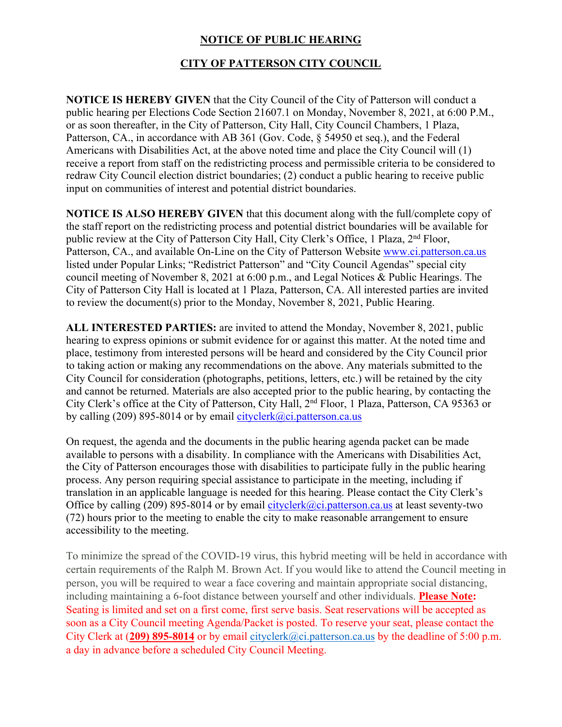## **NOTICE OF PUBLIC HEARING**

## **CITY OF PATTERSON CITY COUNCIL**

**NOTICE IS HEREBY GIVEN** that the City Council of the City of Patterson will conduct a public hearing per Elections Code Section 21607.1 on Monday, November 8, 2021, at 6:00 P.M., or as soon thereafter, in the City of Patterson, City Hall, City Council Chambers, 1 Plaza, Patterson, CA., in accordance with AB 361 (Gov. Code, § 54950 et seq.), and the Federal Americans with Disabilities Act, at the above noted time and place the City Council will (1) receive a report from staff on the redistricting process and permissible criteria to be considered to redraw City Council election district boundaries; (2) conduct a public hearing to receive public input on communities of interest and potential district boundaries.

**NOTICE IS ALSO HEREBY GIVEN** that this document along with the full/complete copy of the staff report on the redistricting process and potential district boundaries will be available for public review at the City of Patterson City Hall, City Clerk's Office, 1 Plaza, 2<sup>nd</sup> Floor, Patterson, CA., and available On-Line on the City of Patterson Website www.ci.patterson.ca.us listed under Popular Links; "Redistrict Patterson" and "City Council Agendas" special city council meeting of November 8, 2021 at 6:00 p.m., and Legal Notices & Public Hearings. The City of Patterson City Hall is located at 1 Plaza, Patterson, CA. All interested parties are invited to review the document(s) prior to the Monday, November 8, 2021, Public Hearing.

**ALL INTERESTED PARTIES:** are invited to attend the Monday, November 8, 2021, public hearing to express opinions or submit evidence for or against this matter. At the noted time and place, testimony from interested persons will be heard and considered by the City Council prior to taking action or making any recommendations on the above. Any materials submitted to the City Council for consideration (photographs, petitions, letters, etc.) will be retained by the city and cannot be returned. Materials are also accepted prior to the public hearing, by contacting the City Clerk's office at the City of Patterson, City Hall, 2nd Floor, 1 Plaza, Patterson, CA 95363 or by calling (209) 895-8014 or by email cityclerk@ci.patterson.ca.us

On request, the agenda and the documents in the public hearing agenda packet can be made available to persons with a disability. In compliance with the Americans with Disabilities Act, the City of Patterson encourages those with disabilities to participate fully in the public hearing process. Any person requiring special assistance to participate in the meeting, including if translation in an applicable language is needed for this hearing. Please contact the City Clerk's Office by calling (209) 895-8014 or by email cityclerk@ci.patterson.ca.us at least seventy-two (72) hours prior to the meeting to enable the city to make reasonable arrangement to ensure accessibility to the meeting.

To minimize the spread of the COVID-19 virus, this hybrid meeting will be held in accordance with certain requirements of the Ralph M. Brown Act. If you would like to attend the Council meeting in person, you will be required to wear a face covering and maintain appropriate social distancing, including maintaining a 6-foot distance between yourself and other individuals. **Please Note:** Seating is limited and set on a first come, first serve basis. Seat reservations will be accepted as soon as a City Council meeting Agenda/Packet is posted. To reserve your seat, please contact the City Clerk at (**209) 895-8014** or by email cityclerk@ci.patterson.ca.us by the deadline of 5:00 p.m. a day in advance before a scheduled City Council Meeting.